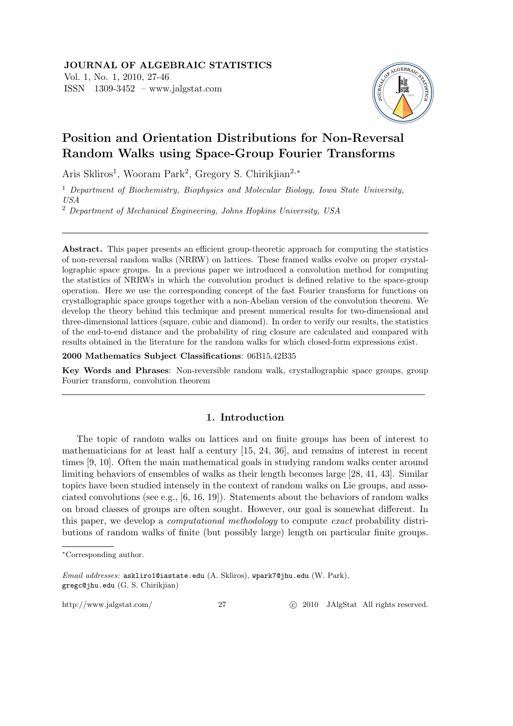

# **Position and Orientation Distributions for Non-Reversal Random Walks using Space-Group Fourier Transforms**

Aris Skliros<sup>1</sup>, Wooram Park<sup>2</sup>, Gregory S. Chirikjian<sup>2,∗</sup>

<sup>1</sup> *Department of Biochemistry, Biophysics and Molecular Biology, Iowa State University, USA*

<sup>2</sup> *Department of Mechanical Engineering, Johns Hopkins University, USA*

Abstract. This paper presents an efficient group-theoretic approach for computing the statistics of non-reversal random walks (NRRW) on lattices. These framed walks evolve on proper crystallographic space groups. In a previous paper we introduced a convolution method for computing the statistics of NRRWs in which the convolution product is defined relative to the space-group operation. Here we use the corresponding concept of the fast Fourier transform for functions on crystallographic space groups together with a non-Abelian version of the convolution theorem. We develop the theory behind this technique and present numerical results for two-dimensional and three-dimensional lattices (square, cubic and diamond). In order to verify our results, the statistics of the end-to-end distance and the probability of ring closure are calculated and compared with results obtained in the literature for the random walks for which closed-form expressions exist.

**2000 Mathematics Subject Classifications**: 06B15,42B35

**Key Words and Phrases**: Non-reversible random walk, crystallographic space groups, group Fourier transform, convolution theorem

# **1. Introduction**

The topic of random walks on lattices and on finite groups has been of interest to mathematicians for at least half a century [15, 24, 36], and remains of interest in recent times [9, 10]. Often the main mathematical goals in studying random walks center around limiting behaviors of ensembles of walks as their length becomes large [28, 41, 43]. Similar topics have been studied intensely in the context of random walks on Lie groups, and associated convolutions (see e.g., [6, 16, 19]). Statements about the behaviors of random walks on broad classes of groups are often sought. However, our goal is somewhat different. In this paper, we develop a *computational methodology* to compute *exact* probability distributions of random walks of finite (but possibly large) length on particular finite groups.

http://www.jalgstat.com/ 27 *Q* 2010 JAlgStat All rights reserved.

*<sup>∗</sup>*Corresponding author.

*Email addresses:* askliro1@iastate.edu (A. Skliros), wpark7@jhu.edu (W. Park), gregc@jhu.edu (G. S. Chirikjian)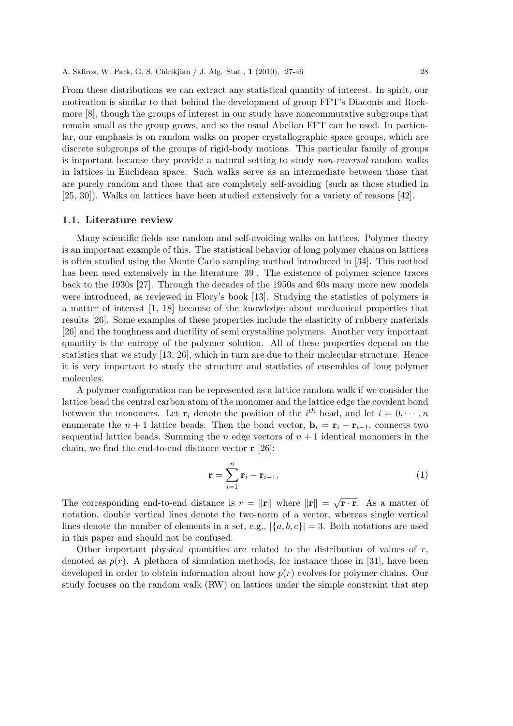From these distributions we can extract any statistical quantity of interest. In spirit, our motivation is similar to that behind the development of group FFT's Diaconis and Rockmore [8], though the groups of interest in our study have noncommutative subgroups that remain small as the group grows, and so the usual Abelian FFT can be used. In particular, our emphasis is on random walks on proper crystallographic space groups, which are discrete subgroups of the groups of rigid-body motions. This particular family of groups is important because they provide a natural setting to study *non-reversal* random walks in lattices in Euclidean space. Such walks serve as an intermediate between those that are purely random and those that are completely self-avoiding (such as those studied in [25, 30]). Walks on lattices have been studied extensively for a variety of reasons [42].

#### **1.1. Literature review**

Many scientific fields use random and self-avoiding walks on lattices. Polymer theory is an important example of this. The statistical behavior of long polymer chains on lattices is often studied using the Monte Carlo sampling method introduced in [34]. This method has been used extensively in the literature [39]. The existence of polymer science traces back to the 1930s [27]. Through the decades of the 1950s and 60s many more new models were introduced, as reviewed in Flory's book [13]. Studying the statistics of polymers is a matter of interest [1, 18] because of the knowledge about mechanical properties that results [26]. Some examples of these properties include the elasticity of rubbery materials [26] and the toughness and ductility of semi crystalline polymers. Another very important quantity is the entropy of the polymer solution. All of these properties depend on the statistics that we study [13, 26], which in turn are due to their molecular structure. Hence it is very important to study the structure and statistics of ensembles of long polymer molecules.

A polymer configuration can be represented as a lattice random walk if we consider the lattice bead the central carbon atom of the monomer and the lattice edge the covalent bond between the monomers. Let  $\mathbf{r}_i$  denote the position of the *i*<sup>th</sup> bead, and let  $i = 0, \dots, n$ enumerate the  $n + 1$  lattice beads. Then the bond vector,  $\mathbf{b}_i = \mathbf{r}_i - \mathbf{r}_{i-1}$ , connects two sequential lattice beads. Summing the *n* edge vectors of  $n + 1$  identical monomers in the chain, we find the end-to-end distance vector **r** [26]:

$$
\mathbf{r} = \sum_{i=1}^{n} \mathbf{r}_i - \mathbf{r}_{i-1}.
$$
 (1)

The corresponding end-to-end distance is  $r = ||\mathbf{r}||$  where  $||\mathbf{r}|| = \sqrt{\mathbf{r} \cdot \mathbf{r}}$ . As a matter of notation, double vertical lines denote the two-norm of a vector, whereas single vertical lines denote the number of elements in a set, e.g.,  $|\{a, b, c\}| = 3$ . Both notations are used in this paper and should not be confused.

Other important physical quantities are related to the distribution of values of *r*, denoted as  $p(r)$ . A plethora of simulation methods, for instance those in [31], have been developed in order to obtain information about how *p*(*r*) evolves for polymer chains. Our study focuses on the random walk (RW) on lattices under the simple constraint that step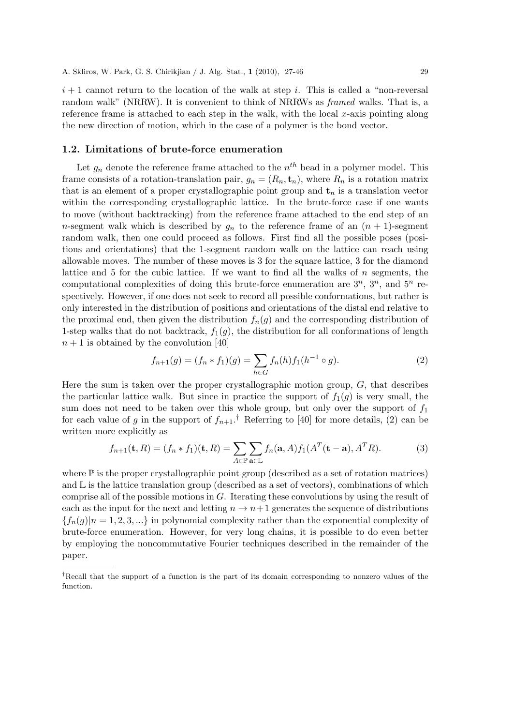$i+1$  cannot return to the location of the walk at step *i*. This is called a "non-reversal" random walk" (NRRW). It is convenient to think of NRRWs as *framed* walks. That is, a reference frame is attached to each step in the walk, with the local *x*-axis pointing along the new direction of motion, which in the case of a polymer is the bond vector.

#### **1.2. Limitations of brute-force enumeration**

Let  $g_n$  denote the reference frame attached to the  $n^{th}$  bead in a polymer model. This frame consists of a rotation-translation pair,  $g_n = (R_n, \mathbf{t}_n)$ , where  $R_n$  is a rotation matrix that is an element of a proper crystallographic point group and  $t_n$  is a translation vector within the corresponding crystallographic lattice. In the brute-force case if one wants to move (without backtracking) from the reference frame attached to the end step of an *n*-segment walk which is described by  $g_n$  to the reference frame of an  $(n + 1)$ -segment random walk, then one could proceed as follows. First find all the possible poses (positions and orientations) that the 1-segment random walk on the lattice can reach using allowable moves. The number of these moves is 3 for the square lattice, 3 for the diamond lattice and 5 for the cubic lattice. If we want to find all the walks of *n* segments, the computational complexities of doing this brute-force enumeration are  $3^n$ ,  $3^n$ , and  $5^n$  respectively. However, if one does not seek to record all possible conformations, but rather is only interested in the distribution of positions and orientations of the distal end relative to the proximal end, then given the distribution  $f_n(g)$  and the corresponding distribution of 1-step walks that do not backtrack,  $f_1(q)$ , the distribution for all conformations of length  $n+1$  is obtained by the convolution [40]

$$
f_{n+1}(g) = (f_n * f_1)(g) = \sum_{h \in G} f_n(h) f_1(h^{-1} \circ g).
$$
 (2)

Here the sum is taken over the proper crystallographic motion group, *G*, that describes the particular lattice walk. But since in practice the support of  $f_1(g)$  is very small, the sum does not need to be taken over this whole group, but only over the support of *f*<sup>1</sup> for each value of *g* in the support of  $f_{n+1}$ .<sup>†</sup> Referring to [40] for more details, (2) can be written more explicitly as

$$
f_{n+1}(\mathbf{t},R) = (f_n * f_1)(\mathbf{t},R) = \sum_{A \in \mathbb{P}} \sum_{\mathbf{a} \in \mathbb{L}} f_n(\mathbf{a},A) f_1(A^T(\mathbf{t}-\mathbf{a}),A^T R). \tag{3}
$$

where  $\mathbb P$  is the proper crystallographic point group (described as a set of rotation matrices) and  $\mathbb L$  is the lattice translation group (described as a set of vectors), combinations of which comprise all of the possible motions in *G*. Iterating these convolutions by using the result of each as the input for the next and letting  $n \to n+1$  generates the sequence of distributions  ${f_n(g) | n = 1, 2, 3, ...}$  in polynomial complexity rather than the exponential complexity of brute-force enumeration. However, for very long chains, it is possible to do even better by employing the noncommutative Fourier techniques described in the remainder of the paper.

*<sup>†</sup>*Recall that the support of a function is the part of its domain corresponding to nonzero values of the function.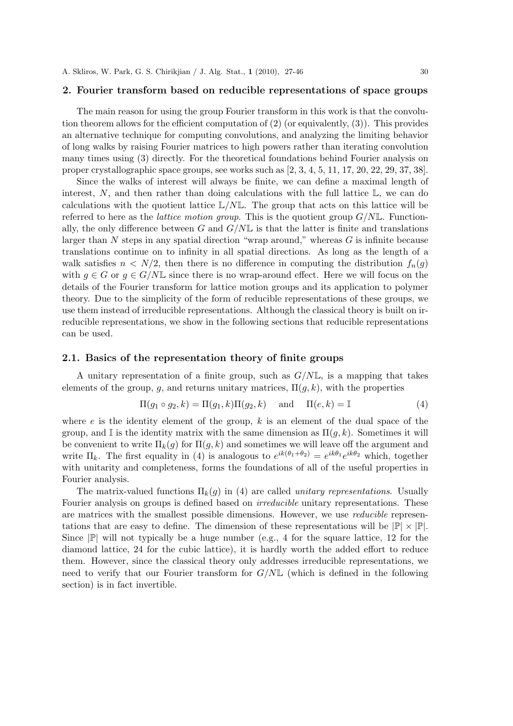#### **2. Fourier transform based on reducible representations of space groups**

The main reason for using the group Fourier transform in this work is that the convolution theorem allows for the efficient computation of (2) (or equivalently, (3)). This provides an alternative technique for computing convolutions, and analyzing the limiting behavior of long walks by raising Fourier matrices to high powers rather than iterating convolution many times using (3) directly. For the theoretical foundations behind Fourier analysis on proper crystallographic space groups, see works such as [2, 3, 4, 5, 11, 17, 20, 22, 29, 37, 38].

Since the walks of interest will always be finite, we can define a maximal length of interest,  $N$ , and then rather than doing calculations with the full lattice  $\mathbb{L}$ , we can do calculations with the quotient lattice L*/N*L. The group that acts on this lattice will be referred to here as the *lattice motion group*. This is the quotient group *G/N*L. Functionally, the only difference between *G* and  $G/NL$  is that the latter is finite and translations larger than *N* steps in any spatial direction "wrap around," whereas *G* is infinite because translations continue on to infinity in all spatial directions. As long as the length of a walk satisfies  $n \leq N/2$ , then there is no difference in computing the distribution  $f_n(q)$ with  $g \in G$  or  $g \in G/N\mathbb{L}$  since there is no wrap-around effect. Here we will focus on the details of the Fourier transform for lattice motion groups and its application to polymer theory. Due to the simplicity of the form of reducible representations of these groups, we use them instead of irreducible representations. Although the classical theory is built on irreducible representations, we show in the following sections that reducible representations can be used.

#### **2.1. Basics of the representation theory of finite groups**

A unitary representation of a finite group, such as *G/N*L, is a mapping that takes elements of the group,  $g$ , and returns unitary matrices,  $\Pi(g, k)$ , with the properties

$$
\Pi(g_1 \circ g_2, k) = \Pi(g_1, k)\Pi(g_2, k) \quad \text{and} \quad \Pi(e, k) = \mathbb{I}
$$
\n(4)

where *e* is the identity element of the group, *k* is an element of the dual space of the group, and I is the identity matrix with the same dimension as  $\Pi(q, k)$ . Sometimes it will be convenient to write  $\Pi_k(q)$  for  $\Pi(q,k)$  and sometimes we will leave off the argument and write  $\Pi_k$ . The first equality in (4) is analogous to  $e^{ik(\theta_1+\theta_2)} = e^{ik\theta_1}e^{ik\theta_2}$  which, together with unitarity and completeness, forms the foundations of all of the useful properties in Fourier analysis.

The matrix-valued functions  $\Pi_k(q)$  in (4) are called *unitary representations*. Usually Fourier analysis on groups is defined based on *irreducible* unitary representations. These are matrices with the smallest possible dimensions. However, we use *reducible* representations that are easy to define. The dimension of these representations will be  $|\mathbb{P}| \times |\mathbb{P}|$ . Since  $|\mathbb{P}|$  will not typically be a huge number (e.g., 4 for the square lattice, 12 for the diamond lattice, 24 for the cubic lattice), it is hardly worth the added effort to reduce them. However, since the classical theory only addresses irreducible representations, we need to verify that our Fourier transform for *G/N*L (which is defined in the following section) is in fact invertible.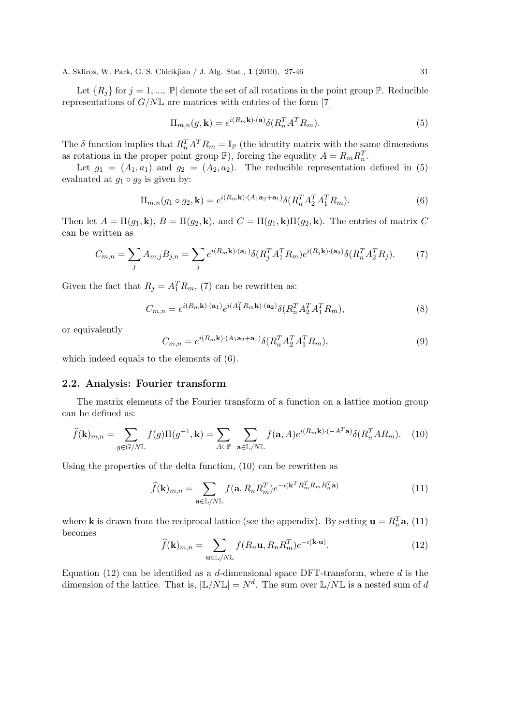Let  ${R_i}$  for  $j = 1, ..., |\mathbb{P}|$  denote the set of all rotations in the point group  $\mathbb{P}$ . Reducible representations of *G/N*L are matrices with entries of the form [7]

$$
\Pi_{m,n}(g,\mathbf{k}) = e^{i(R_m \mathbf{k}) \cdot (\mathbf{a})} \delta(R_n^T A^T R_m). \tag{5}
$$

The  $\delta$  function implies that  $R_n^T A^T R_m = \mathbb{I}_{\mathbb{P}}$  (the identity matrix with the same dimensions as rotations in the proper point group  $\mathbb{P}$ ), forcing the equality  $A = R_m R_n^T$ .

Let  $g_1 = (A_1, a_1)$  and  $g_2 = (A_2, a_2)$ . The reducible representation defined in (5) evaluated at  $g_1 \circ g_2$  is given by:

$$
\Pi_{m,n}(g_1 \circ g_2, \mathbf{k}) = e^{i(R_m \mathbf{k}) \cdot (A_1 \mathbf{a}_2 + \mathbf{a}_1)} \delta(R_n^T A_2^T A_1^T R_m).
$$
\n<sup>(6)</sup>

Then let  $A = \Pi(g_1, \mathbf{k})$ ,  $B = \Pi(g_2, \mathbf{k})$ , and  $C = \Pi(g_1, \mathbf{k})\Pi(g_2, \mathbf{k})$ . The entries of matrix *C* can be written as

$$
C_{m,n} = \sum_{j} A_{m,j} B_{j,n} = \sum_{j} e^{i(R_m \mathbf{k}) \cdot (\mathbf{a}_1)} \delta(R_j^T A_1^T R_m) e^{i(R_j \mathbf{k}) \cdot (\mathbf{a}_2)} \delta(R_n^T A_2^T R_j).
$$
 (7)

Given the fact that  $R_j = A_1^T R_m$ , (7) can be rewritten as:

$$
C_{m,n} = e^{i(R_m \mathbf{k}) \cdot (\mathbf{a}_1)} e^{i(A_1^T R_m \mathbf{k}) \cdot (\mathbf{a}_2)} \delta(R_n^T A_2^T A_1^T R_m), \tag{8}
$$

or equivalently

$$
C_{m,n} = e^{i(R_m \mathbf{k}) \cdot (A_1 \mathbf{a}_2 + \mathbf{a}_1)} \delta(R_n^T A_2^T A_1^T R_m), \tag{9}
$$

which indeed equals to the elements of (6).

#### **2.2. Analysis: Fourier transform**

The matrix elements of the Fourier transform of a function on a lattice motion group can be defined as:

$$
\widehat{f}(\mathbf{k})_{m,n} = \sum_{g \in G/N\mathbb{L}} f(g) \Pi(g^{-1}, \mathbf{k}) = \sum_{A \in \mathbb{P}} \sum_{\mathbf{a} \in \mathbb{L}/N\mathbb{L}} f(\mathbf{a}, A) e^{i(R_m \mathbf{k}) \cdot (-A^T \mathbf{a})} \delta(R_n^T A R_m). \tag{10}
$$

Using the properties of the delta function, (10) can be rewritten as

$$
\widehat{f}(\mathbf{k})_{m,n} = \sum_{\mathbf{a}\in\mathbb{L}/N\mathbb{L}} f(\mathbf{a}, R_n R_m^T) e^{-i(\mathbf{k}^T R_m^T R_m R_n^T \mathbf{a})}
$$
(11)

where **k** is drawn from the reciprocal lattice (see the appendix). By setting  $\mathbf{u} = R_n^T \mathbf{a}$ , (11) becomes

$$
\widehat{f}(\mathbf{k})_{m,n} = \sum_{\mathbf{u} \in \mathbb{L}/N\mathbb{L}} f(R_n \mathbf{u}, R_n R_m^T) e^{-i(\mathbf{k} \cdot \mathbf{u})}.
$$
\n(12)

Equation (12) can be identified as a *d*-dimensional space DFT-transform, where *d* is the dimension of the lattice. That is,  $|\mathbb{L}/N\mathbb{L}| = N^d$ . The sum over  $\mathbb{L}/N\mathbb{L}$  is a nested sum of *d*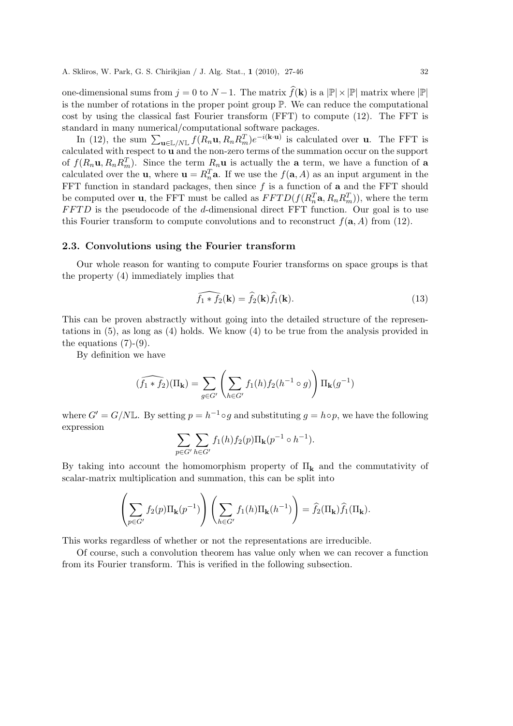one-dimensional sums from  $j = 0$  to  $N - 1$ . The matrix  $\widehat{f}(\mathbf{k})$  is a  $|\mathbb{P}| \times |\mathbb{P}|$  matrix where  $|\mathbb{P}|$ is the number of rotations in the proper point group P. We can reduce the computational cost by using the classical fast Fourier transform (FFT) to compute (12). The FFT is standard in many numerical/computational software packages.

In (12), the sum  $\sum_{\mathbf{u}\in\mathbb{L}/N\mathbb{L}}f(R_n\mathbf{u}, R_nR_m^T)e^{-i(\mathbf{k}\cdot\mathbf{u})}$  is calculated over **u**. The FFT is calculated with respect to **u** and the non-zero terms of the summation occur on the support of  $f(R_n\mathbf{u}, R_nR_m^T)$ . Since the term  $R_n\mathbf{u}$  is actually the **a** term, we have a function of **a** calculated over the **u**, where  $\mathbf{u} = R_n^T \mathbf{a}$ . If we use the  $f(\mathbf{a}, A)$  as an input argument in the FFT function in standard packages, then since *f* is a function of **a** and the FFT should be computed over **u**, the FFT must be called as  $FFTD(f(R_n^T \mathbf{a}, R_n R_n^T))$ , where the term *FFTD* is the pseudocode of the *d*-dimensional direct FFT function. Our goal is to use this Fourier transform to compute convolutions and to reconstruct  $f(\mathbf{a}, A)$  from (12).

#### **2.3. Convolutions using the Fourier transform**

Our whole reason for wanting to compute Fourier transforms on space groups is that the property (4) immediately implies that

$$
\widehat{f_1 * f_2}(\mathbf{k}) = \widehat{f_2}(\mathbf{k}) \widehat{f_1}(\mathbf{k}).
$$
\n(13)

This can be proven abstractly without going into the detailed structure of the representations in (5), as long as (4) holds. We know (4) to be true from the analysis provided in the equations  $(7)-(9)$ .

By definition we have

$$
(\widehat{f_1 * f_2})(\Pi_{\mathbf{k}}) = \sum_{g \in G'} \left( \sum_{h \in G'} f_1(h) f_2(h^{-1} \circ g) \right) \Pi_{\mathbf{k}}(g^{-1})
$$

where  $G' = G/N\mathbb{L}$ . By setting  $p = h^{-1} \circ g$  and substituting  $g = h \circ p$ , we have the following expression

$$
\sum_{p \in G'} \sum_{h \in G'} f_1(h) f_2(p) \Pi_{\mathbf{k}}(p^{-1} \circ h^{-1}).
$$

By taking into account the homomorphism property of Π**<sup>k</sup>** and the commutativity of scalar-matrix multiplication and summation, this can be split into

$$
\left(\sum_{p\in G'} f_2(p) \Pi_{\mathbf{k}}(p^{-1})\right) \left(\sum_{h\in G'} f_1(h) \Pi_{\mathbf{k}}(h^{-1})\right) = \widehat{f}_2(\Pi_{\mathbf{k}}) \widehat{f}_1(\Pi_{\mathbf{k}}).
$$

This works regardless of whether or not the representations are irreducible.

Of course, such a convolution theorem has value only when we can recover a function from its Fourier transform. This is verified in the following subsection.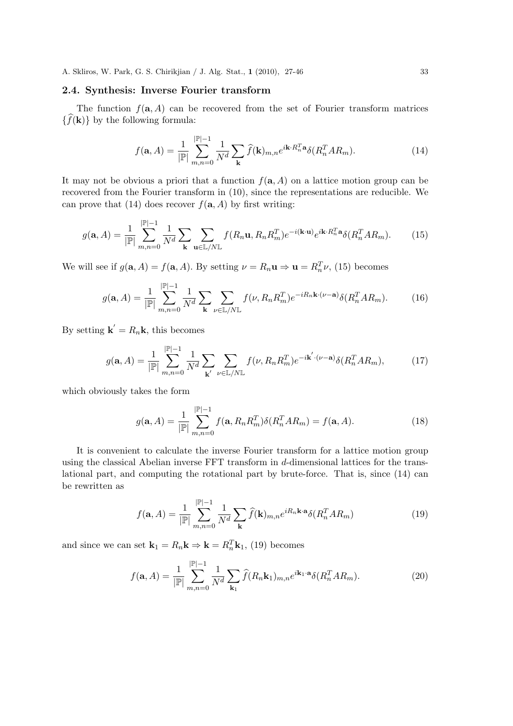# **2.4. Synthesis: Inverse Fourier transform**

The function  $f(\mathbf{a}, A)$  can be recovered from the set of Fourier transform matrices  $\{\widehat{f}(\mathbf{k})\}$  by the following formula:

$$
f(\mathbf{a}, A) = \frac{1}{|\mathbb{P}|} \sum_{m,n=0}^{|\mathbb{P}|-1} \frac{1}{N^d} \sum_{\mathbf{k}} \widehat{f}(\mathbf{k})_{m,n} e^{i\mathbf{k} \cdot R_n^T \mathbf{a}} \delta(R_n^T A R_m).
$$
 (14)

It may not be obvious a priori that a function  $f(\mathbf{a}, A)$  on a lattice motion group can be recovered from the Fourier transform in (10), since the representations are reducible. We can prove that (14) does recover  $f(\mathbf{a}, A)$  by first writing:

$$
g(\mathbf{a}, A) = \frac{1}{|\mathbb{P}|} \sum_{m,n=0}^{|\mathbb{P}|-1} \frac{1}{N^d} \sum_{\mathbf{k}} \sum_{\mathbf{u} \in \mathbb{L}/N\mathbb{L}} f(R_n \mathbf{u}, R_n R_m^T) e^{-i(\mathbf{k} \cdot \mathbf{u})} e^{i\mathbf{k} \cdot R_n^T \mathbf{a}} \delta(R_n^T A R_m).
$$
(15)

We will see if  $g(\mathbf{a}, A) = f(\mathbf{a}, A)$ . By setting  $\nu = R_n \mathbf{u} \Rightarrow \mathbf{u} = R_n^T \nu$ , (15) becomes

$$
g(\mathbf{a}, A) = \frac{1}{|\mathbb{P}|} \sum_{m,n=0}^{|\mathbb{P}|-1} \frac{1}{N^d} \sum_{\mathbf{k}} \sum_{\nu \in \mathbb{L}/N\mathbb{L}} f(\nu, R_n R_m^T) e^{-iR_n \mathbf{k} \cdot (\nu - \mathbf{a})} \delta(R_n^T A R_m).
$$
(16)

By setting  $\mathbf{k}' = R_n \mathbf{k}$ , this becomes

$$
g(\mathbf{a}, A) = \frac{1}{|\mathbb{P}|} \sum_{m,n=0}^{|\mathbb{P}|-1} \frac{1}{N^d} \sum_{\mathbf{k}'} \sum_{\nu \in \mathbb{L}/N\mathbb{L}} f(\nu, R_n R_m^T) e^{-i\mathbf{k}' \cdot (\nu - \mathbf{a})} \delta(R_n^T A R_m), \tag{17}
$$

which obviously takes the form

$$
g(\mathbf{a}, A) = \frac{1}{|\mathbb{P}|} \sum_{m,n=0}^{|\mathbb{P}|-1} f(\mathbf{a}, R_n R_m^T) \delta(R_n^T A R_m) = f(\mathbf{a}, A).
$$
 (18)

It is convenient to calculate the inverse Fourier transform for a lattice motion group using the classical Abelian inverse FFT transform in *d*-dimensional lattices for the translational part, and computing the rotational part by brute-force. That is, since (14) can be rewritten as

$$
f(\mathbf{a}, A) = \frac{1}{|\mathbb{P}|} \sum_{m,n=0}^{|\mathbb{P}|-1} \frac{1}{N^d} \sum_{\mathbf{k}} \widehat{f}(\mathbf{k})_{m,n} e^{iR_n \mathbf{k} \cdot \mathbf{a}} \delta(R_n^T A R_m)
$$
(19)

and since we can set  $\mathbf{k}_1 = R_n \mathbf{k} \Rightarrow \mathbf{k} = R_n^T \mathbf{k}_1$ , (19) becomes

$$
f(\mathbf{a}, A) = \frac{1}{|\mathbb{P}|} \sum_{m,n=0}^{|\mathbb{P}|-1} \frac{1}{N^d} \sum_{\mathbf{k}_1} \widehat{f}(R_n \mathbf{k}_1)_{m,n} e^{i\mathbf{k}_1 \cdot \mathbf{a}} \delta(R_n^T A R_m).
$$
 (20)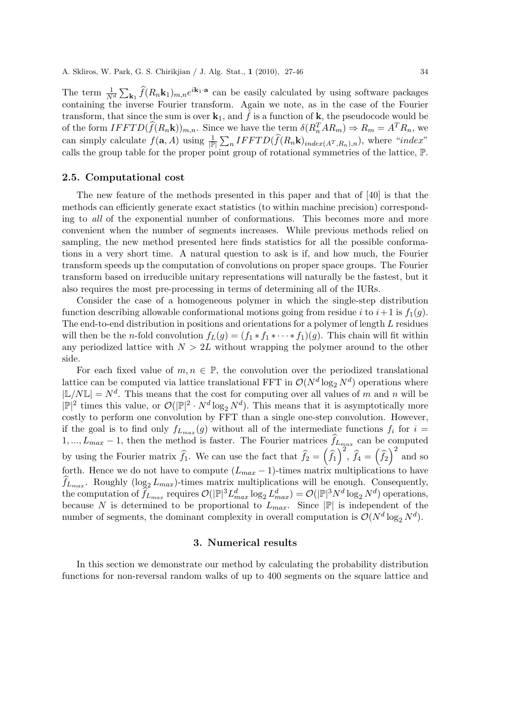The term  $\frac{1}{N^d} \sum_{\mathbf{k}_1} \hat{f}(R_n \mathbf{k}_1)_{m,n} e^{i\mathbf{k}_1 \cdot \mathbf{a}}$  can be easily calculated by using software packages containing the inverse Fourier transform. Again we note, as in the case of the Fourier transform, that since the sum is over  $\mathbf{k}_1$ , and  $\tilde{f}$  is a function of  $\mathbf{k}$ , the pseudocode would be of the form  $IFFTD(\hat{f}(R_n\mathbf{k}))_{m,n}$ . Since we have the term  $\delta(R_n^TAR_m) \Rightarrow R_m = A^TR_n$ , we can simply calculate  $f(\mathbf{a}, A)$  using  $\frac{1}{|\mathbb{P}|} \sum_{n} IFFTD(\hat{f}(R_n\mathbf{k})_{index(A^T, R_n),n})$ , where "*index*" calls the group table for the proper point group of rotational symmetries of the lattice, P.

#### **2.5. Computational cost**

The new feature of the methods presented in this paper and that of [40] is that the methods can efficiently generate exact statistics (to within machine precision) corresponding to *all* of the exponential number of conformations. This becomes more and more convenient when the number of segments increases. While previous methods relied on sampling, the new method presented here finds statistics for all the possible conformations in a very short time. A natural question to ask is if, and how much, the Fourier transform speeds up the computation of convolutions on proper space groups. The Fourier transform based on irreducible unitary representations will naturally be the fastest, but it also requires the most pre-processing in terms of determining all of the IURs.

Consider the case of a homogeneous polymer in which the single-step distribution function describing allowable conformational motions going from residue *i* to  $i+1$  is  $f_1(g)$ . The end-to-end distribution in positions and orientations for a polymer of length *L* residues will then be the *n*-fold convolution  $f_L(g) = (f_1 * f_1 * \cdots * f_1)(g)$ . This chain will fit within any periodized lattice with  $N > 2L$  without wrapping the polymer around to the other side.

For each fixed value of  $m, n \in \mathbb{P}$ , the convolution over the periodized translational lattice can be computed via lattice translational FFT in  $\mathcal{O}(N^d \log_2 N^d)$  operations where  $|L/NL| = N<sup>d</sup>$ . This means that the cost for computing over all values of *m* and *n* will be  $|\mathbb{P}|^2$  times this value, or  $\mathcal{O}(|\mathbb{P}|^2 \cdot N^d \log_2 N^d)$ . This means that it is asymptotically more costly to perform one convolution by FFT than a single one-step convolution. However, if the goal is to find only  $f_{L_{max}}(g)$  without all of the intermediate functions  $f_i$  for  $i =$ 1, ...,  $L_{max} - 1$ , then the method is faster. The Fourier matrices  $f_{L_{max}}$  can be computed by using the Fourier matrix  $\hat{f}_1$ . We can use the fact that  $\hat{f}_2 = (\hat{f}_1)^2$ ,  $\hat{f}_4 = (\hat{f}_2)^2$  and so forth. Hence we do not have to compute  $(L_{max} - 1)$ -times matrix multiplications to have  $f_{L_{max}}$ . Roughly (log<sub>2</sub>  $L_{max}$ )-times matrix multiplications will be enough. Consequently, the computation of  $\widehat{f}_{L_{max}}$  requires  $\mathcal{O}(|\mathbb{P}|^3 L_{max}^d \log_2 L_{max}^d) = \mathcal{O}(|\mathbb{P}|^3 N^d \log_2 N^d)$  operations, because *N* is determined to be proportional to  $L_{max}$ . Since  $|\mathbb{P}|$  is independent of the number of segments, the dominant complexity in overall computation is  $\mathcal{O}(N^d \log_2 N^d)$ .

# **3. Numerical results**

In this section we demonstrate our method by calculating the probability distribution functions for non-reversal random walks of up to 400 segments on the square lattice and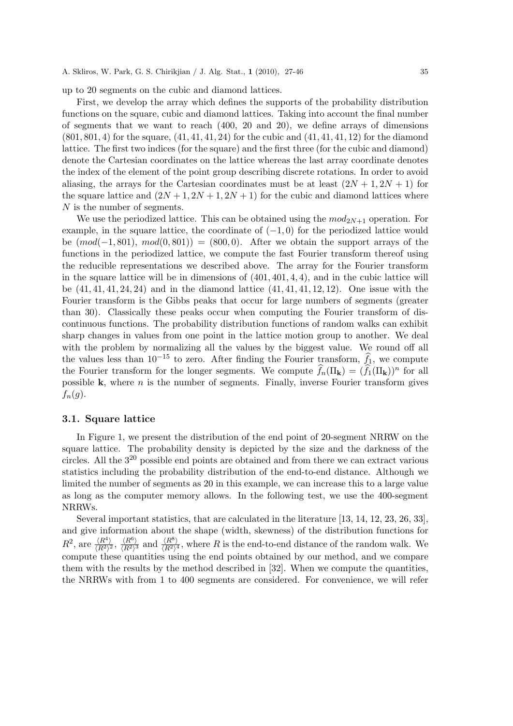up to 20 segments on the cubic and diamond lattices.

First, we develop the array which defines the supports of the probability distribution functions on the square, cubic and diamond lattices. Taking into account the final number of segments that we want to reach (400, 20 and 20), we define arrays of dimensions (801*,* 801*,* 4) for the square, (41*,* 41*,* 41*,* 24) for the cubic and (41*,* 41*,* 41*,* 12) for the diamond lattice. The first two indices (for the square) and the first three (for the cubic and diamond) denote the Cartesian coordinates on the lattice whereas the last array coordinate denotes the index of the element of the point group describing discrete rotations. In order to avoid aliasing, the arrays for the Cartesian coordinates must be at least  $(2N + 1, 2N + 1)$  for the square lattice and  $(2N+1, 2N+1, 2N+1)$  for the cubic and diamond lattices where *N* is the number of segments.

We use the periodized lattice. This can be obtained using the  $mod_{2N+1}$  operation. For example, in the square lattice, the coordinate of (*−*1*,* 0) for the periodized lattice would be (*mod*(*−*1*,* 801)*, mod*(0*,* 801)) = (800*,* 0). After we obtain the support arrays of the functions in the periodized lattice, we compute the fast Fourier transform thereof using the reducible representations we described above. The array for the Fourier transform in the square lattice will be in dimensions of (401*,* 401*,* 4*,* 4), and in the cubic lattice will be (41*,* 41*,* 41*,* 24*,* 24) and in the diamond lattice (41*,* 41*,* 41*,* 12*,* 12). One issue with the Fourier transform is the Gibbs peaks that occur for large numbers of segments (greater than 30). Classically these peaks occur when computing the Fourier transform of discontinuous functions. The probability distribution functions of random walks can exhibit sharp changes in values from one point in the lattice motion group to another. We deal with the problem by normalizing all the values by the biggest value. We round off all the values less than  $10^{-15}$  to zero. After finding the Fourier transform,  $\hat{f}_1$ , we compute the Fourier transform for the longer segments. We compute  $\hat{f}_n(\Pi_k) = (\hat{f}_1(\Pi_k))^n$  for all possible **k**, where *n* is the number of segments. Finally, inverse Fourier transform gives  $f_n(g)$ .

#### **3.1. Square lattice**

In Figure 1, we present the distribution of the end point of 20-segment NRRW on the square lattice. The probability density is depicted by the size and the darkness of the circles. All the 3<sup>20</sup> possible end points are obtained and from there we can extract various statistics including the probability distribution of the end-to-end distance. Although we limited the number of segments as 20 in this example, we can increase this to a large value as long as the computer memory allows. In the following test, we use the 400-segment NRRWs.

Several important statistics, that are calculated in the literature [13, 14, 12, 23, 26, 33], and give information about the shape (width, skewness) of the distribution functions for  $R^2$ , are  $\frac{\langle R^4 \rangle}{\langle R^2 \rangle^2}$ ,  $\frac{\langle R^6 \rangle}{\langle R^2 \rangle^3}$  and  $\frac{\langle R^8 \rangle}{\langle R^2 \rangle^4}$ , where R is the end-to-end distance of the random walk. We compute these quantities using the end points obtained by our method, and we compare them with the results by the method described in [32]. When we compute the quantities, the NRRWs with from 1 to 400 segments are considered. For convenience, we will refer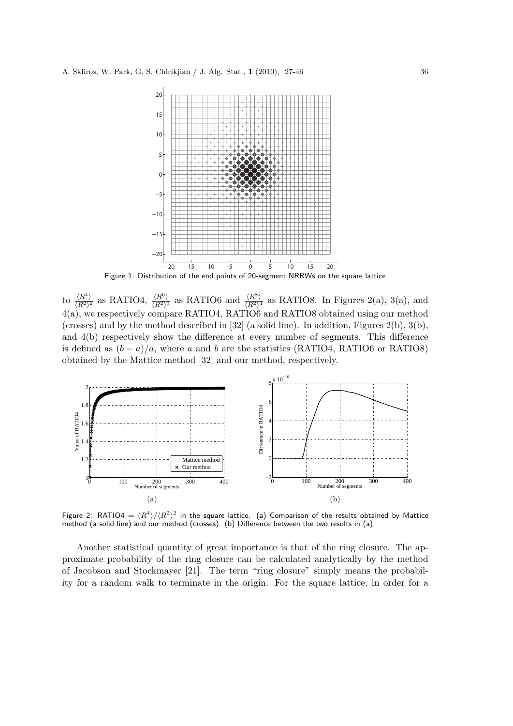

to  $\frac{\langle R^4 \rangle}{\langle R^2 \rangle^2}$  as RATIO4,  $\frac{\langle R^6 \rangle}{\langle R^2 \rangle^3}$  as RATIO6 and  $\frac{\langle R^8 \rangle}{\langle R^2 \rangle^4}$  as RATIO8. In Figures 2(a), 3(a), and 4(a), we respectively compare RATIO4, RATIO6 and RATIO8 obtained using our method (crosses) and by the method described in [32] (a solid line). In addition, Figures 2(b), 3(b), and 4(b) respectively show the difference at every number of segments. This difference is defined as  $(b-a)/a$ , where *a* and *b* are the statistics (RATIO4, RATIO6 or RATIO8) obtained by the Mattice method [32] and our method, respectively.



Figure 2: RATIO4 =  $\langle R^4 \rangle / \langle R^2 \rangle^2$  in the square lattice. (a) Comparison of the results obtained by Mattice method (a solid line) and our method (crosses). (b) Difference between the two results in (a).

Another statistical quantity of great importance is that of the ring closure. The approximate probability of the ring closure can be calculated analytically by the method of Jacobson and Stockmayer [21]. The term "ring closure" simply means the probability for a random walk to terminate in the origin. For the square lattice, in order for a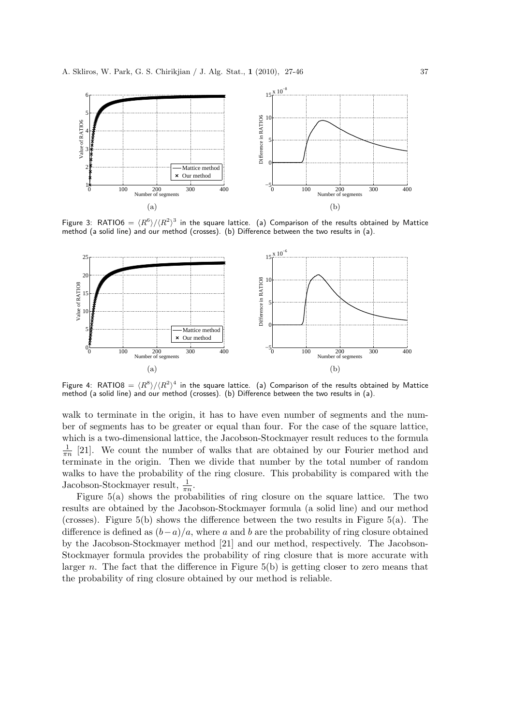

Figure 3: RATIO6 =  $\langle R^6 \rangle / \langle R^2 \rangle^3$  in the square lattice. (a) Comparison of the results obtained by Mattice method (a solid line) and our method (crosses). (b) Difference between the two results in (a).



Figure 4: RATIO8 =  $\langle R^8 \rangle / \langle R^2 \rangle^4$  in the square lattice. (a) Comparison of the results obtained by Mattice method (a solid line) and our method (crosses). (b) Difference between the two results in (a).

walk to terminate in the origin, it has to have even number of segments and the number of segments has to be greater or equal than four. For the case of the square lattice, which is a two-dimensional lattice, the Jacobson-Stockmayer result reduces to the formula 1  $\frac{1}{\pi n}$  [21]. We count the number of walks that are obtained by our Fourier method and terminate in the origin. Then we divide that number by the total number of random walks to have the probability of the ring closure. This probability is compared with the Jacobson-Stockmayer result,  $\frac{1}{\pi n}$ .

Figure  $5(a)$  shows the probabilities of ring closure on the square lattice. The two results are obtained by the Jacobson-Stockmayer formula (a solid line) and our method (crosses). Figure 5(b) shows the difference between the two results in Figure 5(a). The difference is defined as  $(b−a)/a$ , where *a* and *b* are the probability of ring closure obtained by the Jacobson-Stockmayer method [21] and our method, respectively. The Jacobson-Stockmayer formula provides the probability of ring closure that is more accurate with larger *n*. The fact that the difference in Figure 5(b) is getting closer to zero means that the probability of ring closure obtained by our method is reliable.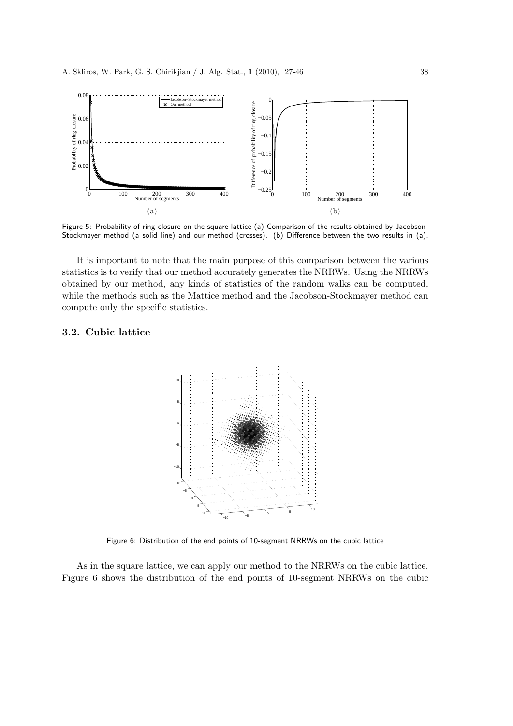

Figure 5: Probability of ring closure on the square lattice (a) Comparison of the results obtained by Jacobson-Stockmayer method (a solid line) and our method (crosses). (b) Difference between the two results in (a).

It is important to note that the main purpose of this comparison between the various statistics is to verify that our method accurately generates the NRRWs. Using the NRRWs obtained by our method, any kinds of statistics of the random walks can be computed, while the methods such as the Mattice method and the Jacobson-Stockmayer method can compute only the specific statistics.

# **3.2. Cubic lattice**



Figure 6: Distribution of the end points of 10-segment NRRWs on the cubic lattice

As in the square lattice, we can apply our method to the NRRWs on the cubic lattice. Figure 6 shows the distribution of the end points of 10-segment NRRWs on the cubic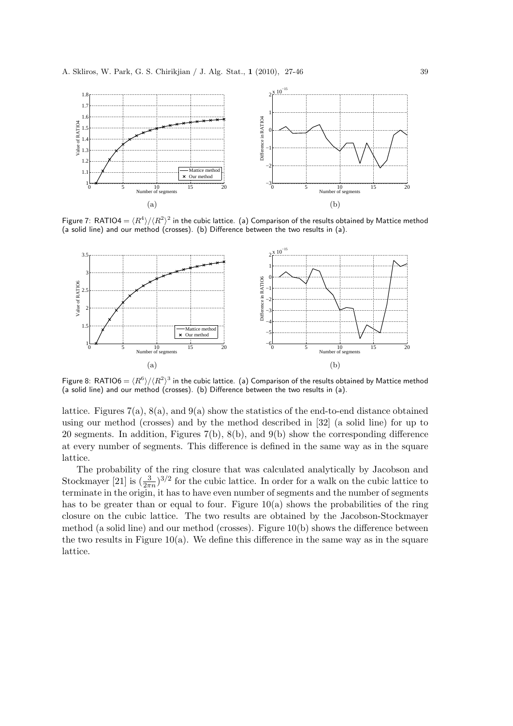

Figure 7: RATIO4 =  $\langle R^4 \rangle / \langle R^2 \rangle^2$  in the cubic lattice. (a) Comparison of the results obtained by Mattice method (a solid line) and our method (crosses). (b) Difference between the two results in (a).



Figure 8: RATIO6 =  $\langle R^6 \rangle / \langle R^2 \rangle^3$  in the cubic lattice. (a) Comparison of the results obtained by Mattice method (a solid line) and our method (crosses). (b) Difference between the two results in (a).

lattice. Figures  $7(a)$ ,  $8(a)$ , and  $9(a)$  show the statistics of the end-to-end distance obtained using our method (crosses) and by the method described in [32] (a solid line) for up to 20 segments. In addition, Figures 7(b), 8(b), and 9(b) show the corresponding difference at every number of segments. This difference is defined in the same way as in the square lattice.

The probability of the ring closure that was calculated analytically by Jacobson and Stockmayer [21] is  $(\frac{3}{2\pi n})^{3/2}$  for the cubic lattice. In order for a walk on the cubic lattice to terminate in the origin, it has to have even number of segments and the number of segments has to be greater than or equal to four. Figure  $10(a)$  shows the probabilities of the ring closure on the cubic lattice. The two results are obtained by the Jacobson-Stockmayer method (a solid line) and our method (crosses). Figure 10(b) shows the difference between the two results in Figure  $10(a)$ . We define this difference in the same way as in the square lattice.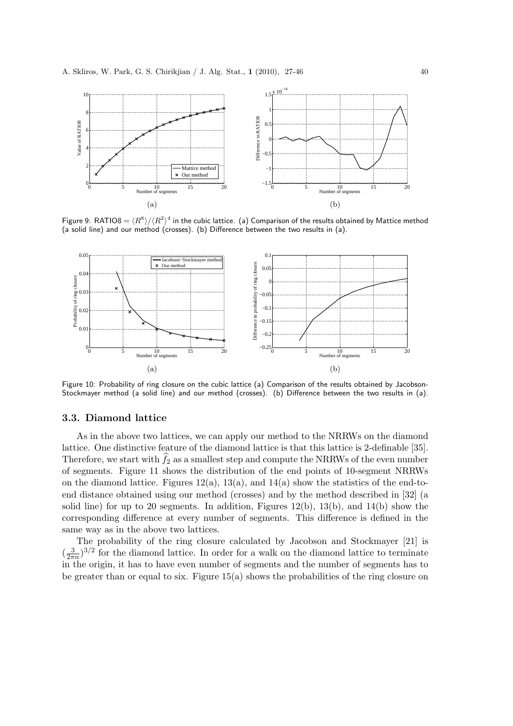

Figure 9: RATIO8 =  $\langle R^8 \rangle / \langle R^2 \rangle^4$  in the cubic lattice. (a) Comparison of the results obtained by Mattice method (a solid line) and our method (crosses). (b) Difference between the two results in (a).



Figure 10: Probability of ring closure on the cubic lattice (a) Comparison of the results obtained by Jacobson-Stockmayer method (a solid line) and our method (crosses). (b) Difference between the two results in (a).

#### **3.3. Diamond lattice**

As in the above two lattices, we can apply our method to the NRRWs on the diamond lattice. One distinctive feature of the diamond lattice is that this lattice is 2-definable [35]. Therefore, we start with  $\widehat{f}_2$  as a smallest step and compute the NRRWs of the even number of segments. Figure 11 shows the distribution of the end points of 10-segment NRRWs on the diamond lattice. Figures  $12(a)$ ,  $13(a)$ , and  $14(a)$  show the statistics of the end-toend distance obtained using our method (crosses) and by the method described in [32] (a solid line) for up to 20 segments. In addition, Figures  $12(b)$ ,  $13(b)$ , and  $14(b)$  show the corresponding difference at every number of segments. This difference is defined in the same way as in the above two lattices.

The probability of the ring closure calculated by Jacobson and Stockmayer [21] is  $\left(\frac{3}{2\pi}\right)$  $\frac{3}{2\pi n}$ <sup>3/2</sup> for the diamond lattice. In order for a walk on the diamond lattice to terminate in the origin, it has to have even number of segments and the number of segments has to be greater than or equal to six. Figure  $15(a)$  shows the probabilities of the ring closure on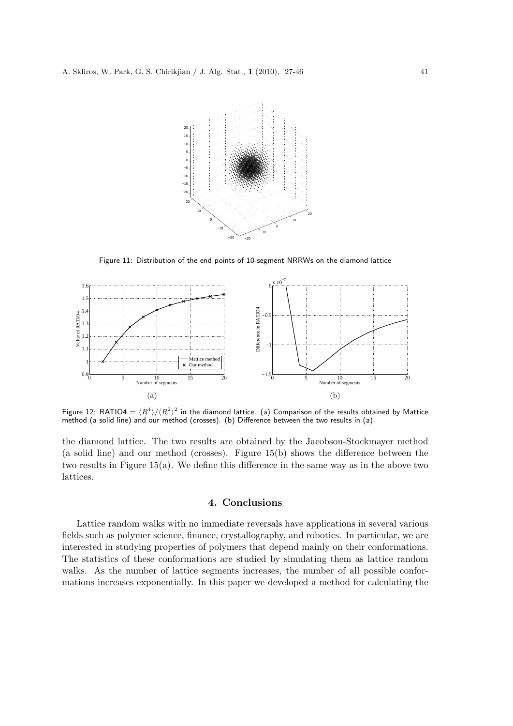

Figure 11: Distribution of the end points of 10-segment NRRWs on the diamond lattice



Figure 12: RATIO4 =  $\langle R^4 \rangle / \langle R^2 \rangle^2$  in the diamond lattice. (a) Comparison of the results obtained by Mattice method (a solid line) and our method (crosses). (b) Difference between the two results in (a).

the diamond lattice. The two results are obtained by the Jacobson-Stockmayer method (a solid line) and our method (crosses). Figure 15(b) shows the difference between the two results in Figure 15(a). We define this difference in the same way as in the above two lattices.

# **4. Conclusions**

Lattice random walks with no immediate reversals have applications in several various fields such as polymer science, finance, crystallography, and robotics. In particular, we are interested in studying properties of polymers that depend mainly on their conformations. The statistics of these conformations are studied by simulating them as lattice random walks. As the number of lattice segments increases, the number of all possible conformations increases exponentially. In this paper we developed a method for calculating the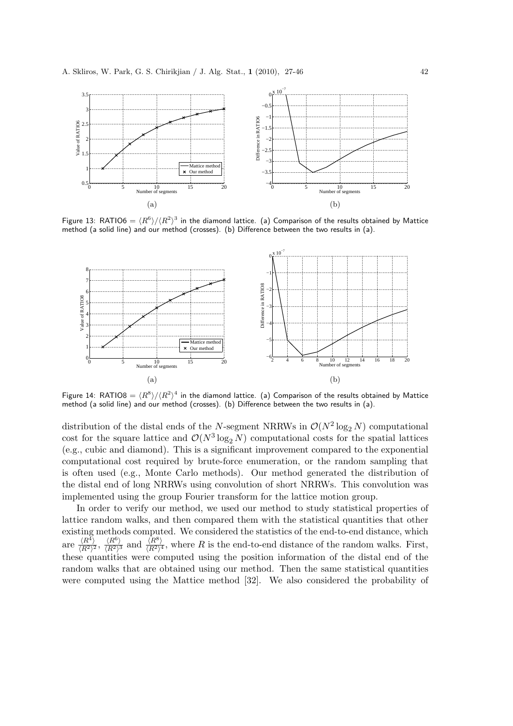

Figure 13: RATIO6 =  $\langle R^6 \rangle / \langle R^2 \rangle^3$  in the diamond lattice. (a) Comparison of the results obtained by Mattice method (a solid line) and our method (crosses). (b) Difference between the two results in (a).



Figure 14: RATIO8 =  $\langle R^8 \rangle / \langle R^2 \rangle^4$  in the diamond lattice. (a) Comparison of the results obtained by Mattice method (a solid line) and our method (crosses). (b) Difference between the two results in (a).

distribution of the distal ends of the *N*-segment NRRWs in  $\mathcal{O}(N^2 \log_2 N)$  computational cost for the square lattice and  $\mathcal{O}(N^3 \log_2 N)$  computational costs for the spatial lattices (e.g., cubic and diamond). This is a significant improvement compared to the exponential computational cost required by brute-force enumeration, or the random sampling that is often used (e.g., Monte Carlo methods). Our method generated the distribution of the distal end of long NRRWs using convolution of short NRRWs. This convolution was implemented using the group Fourier transform for the lattice motion group.

In order to verify our method, we used our method to study statistical properties of lattice random walks, and then compared them with the statistical quantities that other existing methods computed. We considered the statistics of the end-to-end distance, which are  $\frac{\langle R^4 \rangle}{\langle R^2 \rangle^2}$ ,  $\frac{\langle R^6 \rangle}{\langle R^2 \rangle^3}$  and  $\frac{\langle R^8 \rangle}{\langle R^2 \rangle^4}$ , where R is the end-to-end distance of the random walks. First, these quantities were computed using the position information of the distal end of the random walks that are obtained using our method. Then the same statistical quantities were computed using the Mattice method [32]. We also considered the probability of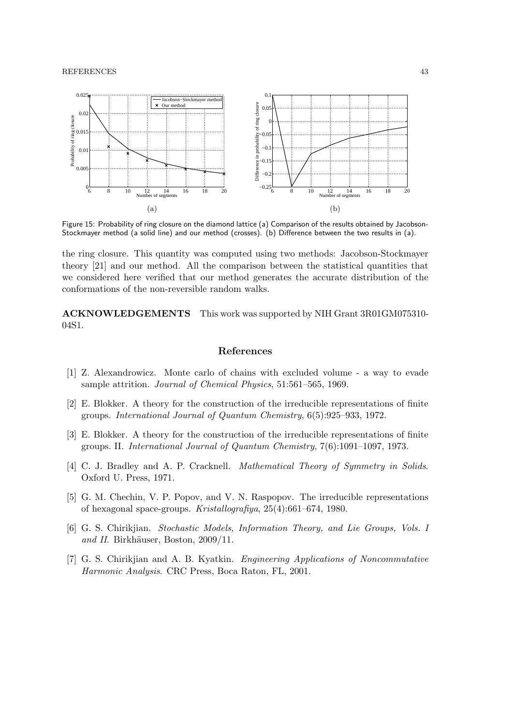#### REFERENCES 43



Figure 15: Probability of ring closure on the diamond lattice (a) Comparison of the results obtained by Jacobson-Stockmayer method (a solid line) and our method (crosses). (b) Difference between the two results in (a).

the ring closure. This quantity was computed using two methods: Jacobson-Stockmayer theory [21] and our method. All the comparison between the statistical quantities that we considered here verified that our method generates the accurate distribution of the conformations of the non-reversible random walks.

**ACKNOWLEDGEMENTS** This work was supported by NIH Grant 3R01GM075310- 04S1.

### **References**

- [1] Z. Alexandrowicz. Monte carlo of chains with excluded volume a way to evade sample attrition. *Journal of Chemical Physics*, 51:561–565, 1969.
- [2] E. Blokker. A theory for the construction of the irreducible representations of finite groups. *International Journal of Quantum Chemistry*, 6(5):925–933, 1972.
- [3] E. Blokker. A theory for the construction of the irreducible representations of finite groups. II. *International Journal of Quantum Chemistry*, 7(6):1091–1097, 1973.
- [4] C. J. Bradley and A. P. Cracknell. *Mathematical Theory of Symmetry in Solids*. Oxford U. Press, 1971.
- [5] G. M. Chechin, V. P. Popov, and V. N. Raspopov. The irreducible representations of hexagonal space-groups. *Kristallografiya*, 25(4):661–674, 1980.
- [6] G. S. Chirikjian. *Stochastic Models, Information Theory, and Lie Groups, Vols. I and II.* Birkhäuser, Boston, 2009/11.
- [7] G. S. Chirikjian and A. B. Kyatkin. *Engineering Applications of Noncommutative Harmonic Analysis*. CRC Press, Boca Raton, FL, 2001.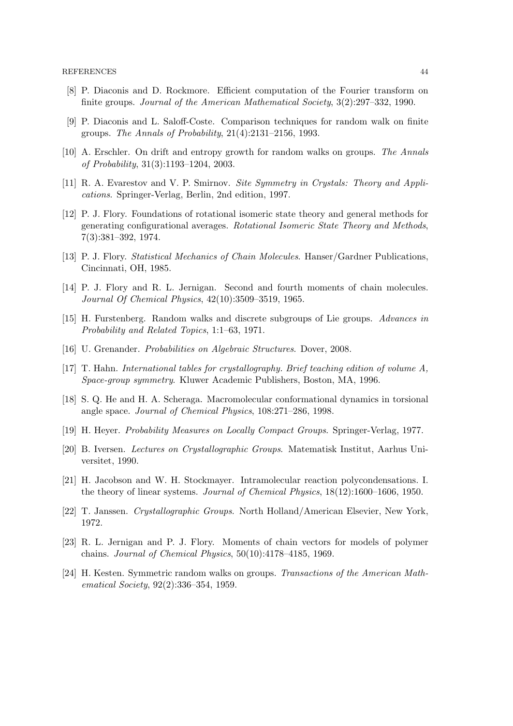- [8] P. Diaconis and D. Rockmore. Efficient computation of the Fourier transform on finite groups. *Journal of the American Mathematical Society*, 3(2):297–332, 1990.
- [9] P. Diaconis and L. Saloff-Coste. Comparison techniques for random walk on finite groups. *The Annals of Probability*, 21(4):2131–2156, 1993.
- [10] A. Erschler. On drift and entropy growth for random walks on groups. *The Annals of Probability*, 31(3):1193–1204, 2003.
- [11] R. A. Evarestov and V. P. Smirnov. *Site Symmetry in Crystals: Theory and Applications*. Springer-Verlag, Berlin, 2nd edition, 1997.
- [12] P. J. Flory. Foundations of rotational isomeric state theory and general methods for generating configurational averages. *Rotational Isomeric State Theory and Methods*, 7(3):381–392, 1974.
- [13] P. J. Flory. *Statistical Mechanics of Chain Molecules*. Hanser/Gardner Publications, Cincinnati, OH, 1985.
- [14] P. J. Flory and R. L. Jernigan. Second and fourth moments of chain molecules. *Journal Of Chemical Physics*, 42(10):3509–3519, 1965.
- [15] H. Furstenberg. Random walks and discrete subgroups of Lie groups. *Advances in Probability and Related Topics*, 1:1–63, 1971.
- [16] U. Grenander. *Probabilities on Algebraic Structures*. Dover, 2008.
- [17] T. Hahn. *International tables for crystallography. Brief teaching edition of volume A, Space-group symmetry*. Kluwer Academic Publishers, Boston, MA, 1996.
- [18] S. Q. He and H. A. Scheraga. Macromolecular conformational dynamics in torsional angle space. *Journal of Chemical Physics*, 108:271–286, 1998.
- [19] H. Heyer. *Probability Measures on Locally Compact Groups*. Springer-Verlag, 1977.
- [20] B. Iversen. *Lectures on Crystallographic Groups*. Matematisk Institut, Aarhus Universitet, 1990.
- [21] H. Jacobson and W. H. Stockmayer. Intramolecular reaction polycondensations. I. the theory of linear systems. *Journal of Chemical Physics*, 18(12):1600–1606, 1950.
- [22] T. Janssen. *Crystallographic Groups*. North Holland/American Elsevier, New York, 1972.
- [23] R. L. Jernigan and P. J. Flory. Moments of chain vectors for models of polymer chains. *Journal of Chemical Physics*, 50(10):4178–4185, 1969.
- [24] H. Kesten. Symmetric random walks on groups. *Transactions of the American Mathematical Society*, 92(2):336–354, 1959.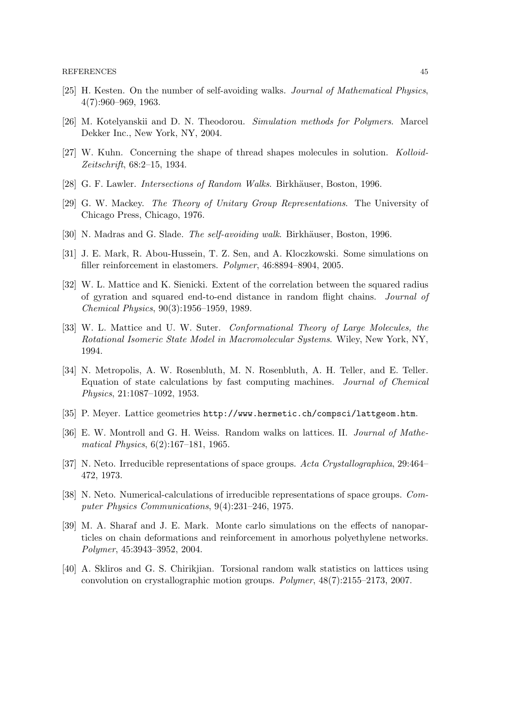- [25] H. Kesten. On the number of self-avoiding walks. *Journal of Mathematical Physics*, 4(7):960–969, 1963.
- [26] M. Kotelyanskii and D. N. Theodorou. *Simulation methods for Polymers*. Marcel Dekker Inc., New York, NY, 2004.
- [27] W. Kuhn. Concerning the shape of thread shapes molecules in solution. *Kolloid-Zeitschrift*, 68:2–15, 1934.
- [28] G. F. Lawler. *Intersections of Random Walks*. Birkhäuser, Boston, 1996.
- [29] G. W. Mackey. *The Theory of Unitary Group Representations*. The University of Chicago Press, Chicago, 1976.
- [30] N. Madras and G. Slade. *The self-avoiding walk*. Birkhäuser, Boston, 1996.
- [31] J. E. Mark, R. Abou-Hussein, T. Z. Sen, and A. Kloczkowski. Some simulations on filler reinforcement in elastomers. *Polymer*, 46:8894–8904, 2005.
- [32] W. L. Mattice and K. Sienicki. Extent of the correlation between the squared radius of gyration and squared end-to-end distance in random flight chains. *Journal of Chemical Physics*, 90(3):1956–1959, 1989.
- [33] W. L. Mattice and U. W. Suter. *Conformational Theory of Large Molecules, the Rotational Isomeric State Model in Macromolecular Systems*. Wiley, New York, NY, 1994.
- [34] N. Metropolis, A. W. Rosenbluth, M. N. Rosenbluth, A. H. Teller, and E. Teller. Equation of state calculations by fast computing machines. *Journal of Chemical Physics*, 21:1087–1092, 1953.
- [35] P. Meyer. Lattice geometries http://www.hermetic.ch/compsci/lattgeom.htm.
- [36] E. W. Montroll and G. H. Weiss. Random walks on lattices. II. *Journal of Mathematical Physics*, 6(2):167–181, 1965.
- [37] N. Neto. Irreducible representations of space groups. *Acta Crystallographica*, 29:464– 472, 1973.
- [38] N. Neto. Numerical-calculations of irreducible representations of space groups. *Computer Physics Communications*, 9(4):231–246, 1975.
- [39] M. A. Sharaf and J. E. Mark. Monte carlo simulations on the effects of nanoparticles on chain deformations and reinforcement in amorhous polyethylene networks. *Polymer*, 45:3943–3952, 2004.
- [40] A. Skliros and G. S. Chirikjian. Torsional random walk statistics on lattices using convolution on crystallographic motion groups. *Polymer*, 48(7):2155–2173, 2007.